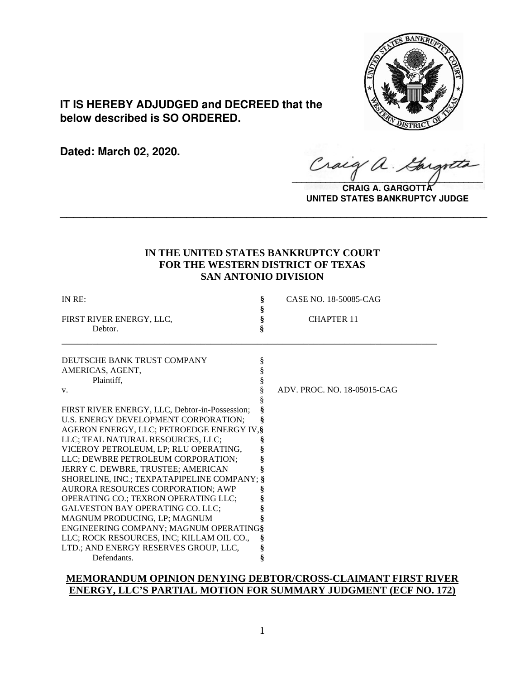

# **IT IS HEREBY ADJUDGED and DECREED that the below described is SO ORDERED.**

**Dated: March 02, 2020.**

Craig a.

**CRAIG A. GARGOTT UNITED STATES BANKRUPTCY JUDGE**

## **IN THE UNITED STATES BANKRUPTCY COURT FOR THE WESTERN DISTRICT OF TEXAS SAN ANTONIO DIVISION**

**\_\_\_\_\_\_\_\_\_\_\_\_\_\_\_\_\_\_\_\_\_\_\_\_\_\_\_\_\_\_\_\_\_\_\_\_\_\_\_\_\_\_\_\_\_\_\_\_\_\_\_\_\_\_\_\_\_\_\_\_\_\_\_\_**

| IN RE:                                         | § | CASE NO. 18-50085-CAG       |
|------------------------------------------------|---|-----------------------------|
|                                                | ş |                             |
| FIRST RIVER ENERGY, LLC,                       | § | <b>CHAPTER 11</b>           |
| Debtor.                                        | § |                             |
| DEUTSCHE BANK TRUST COMPANY                    |   |                             |
|                                                | ş |                             |
| AMERICAS, AGENT,                               |   |                             |
| Plaintiff,                                     |   | ADV. PROC. NO. 18-05015-CAG |
| V.                                             |   |                             |
| FIRST RIVER ENERGY, LLC, Debtor-in-Possession; | ş |                             |
| U.S. ENERGY DEVELOPMENT CORPORATION;           |   |                             |
| AGERON ENERGY, LLC; PETROEDGE ENERGY IV, §     |   |                             |
| LLC; TEAL NATURAL RESOURCES, LLC;              |   |                             |
| VICEROY PETROLEUM, LP; RLU OPERATING,          |   |                             |
| LLC; DEWBRE PETROLEUM CORPORATION;             |   |                             |
| JERRY C. DEWBRE, TRUSTEE; AMERICAN             |   |                             |
| SHORELINE, INC.; TEXPATAPIPELINE COMPANY; §    |   |                             |
| AURORA RESOURCES CORPORATION; AWP              |   |                             |
| OPERATING CO.; TEXRON OPERATING LLC;           |   |                             |
| <b>GALVESTON BAY OPERATING CO. LLC;</b>        |   |                             |
| MAGNUM PRODUCING, LP; MAGNUM                   |   |                             |
| ENGINEERING COMPANY; MAGNUM OPERATING§         |   |                             |
| LLC; ROCK RESOURCES, INC; KILLAM OIL CO.,      | Š |                             |
| LTD.; AND ENERGY RESERVES GROUP, LLC,          | § |                             |
| Defendants.                                    | ş |                             |
|                                                |   |                             |

### **MEMORANDUM OPINION DENYING DEBTOR/CROSS-CLAIMANT FIRST RIVER ENERGY, LLC'S PARTIAL MOTION FOR SUMMARY JUDGMENT (ECF NO. 172)**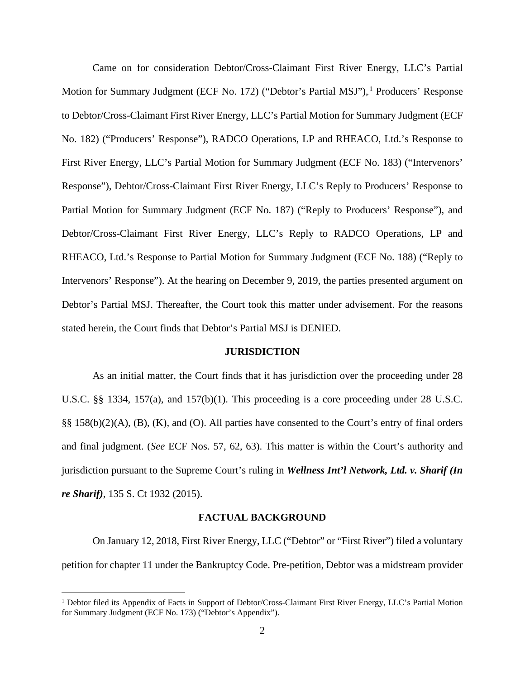Came on for consideration Debtor/Cross-Claimant First River Energy, LLC's Partial Motion for Summary Judgment (ECF No. 172) ("Debtor's Partial MSJ"), <sup>1</sup> Producers' Response to Debtor/Cross-Claimant First River Energy, LLC's Partial Motion for Summary Judgment (ECF No. 182) ("Producers' Response"), RADCO Operations, LP and RHEACO, Ltd.'s Response to First River Energy, LLC's Partial Motion for Summary Judgment (ECF No. 183) ("Intervenors' Response"), Debtor/Cross-Claimant First River Energy, LLC's Reply to Producers' Response to Partial Motion for Summary Judgment (ECF No. 187) ("Reply to Producers' Response"), and Debtor/Cross-Claimant First River Energy, LLC's Reply to RADCO Operations, LP and RHEACO, Ltd.'s Response to Partial Motion for Summary Judgment (ECF No. 188) ("Reply to Intervenors' Response"). At the hearing on December 9, 2019, the parties presented argument on Debtor's Partial MSJ. Thereafter, the Court took this matter under advisement. For the reasons stated herein, the Court finds that Debtor's Partial MSJ is DENIED.

#### **JURISDICTION**

As an initial matter, the Court finds that it has jurisdiction over the proceeding under 28 U.S.C. §§ 1334, 157(a), and 157(b)(1). This proceeding is a core proceeding under 28 U.S.C. §§ 158(b)(2)(A), (B), (K), and (O). All parties have consented to the Court's entry of final orders and final judgment. (*See* ECF Nos. 57, 62, 63). This matter is within the Court's authority and jurisdiction pursuant to the Supreme Court's ruling in *Wellness Int'l Network, Ltd. v. Sharif (In re Sharif)*, 135 S. Ct 1932 (2015).

#### **FACTUAL BACKGROUND**

On January 12, 2018, First River Energy, LLC ("Debtor" or "First River") filed a voluntary petition for chapter 11 under the Bankruptcy Code. Pre-petition, Debtor was a midstream provider

<sup>&</sup>lt;sup>1</sup> Debtor filed its Appendix of Facts in Support of Debtor/Cross-Claimant First River Energy, LLC's Partial Motion for Summary Judgment (ECF No. 173) ("Debtor's Appendix").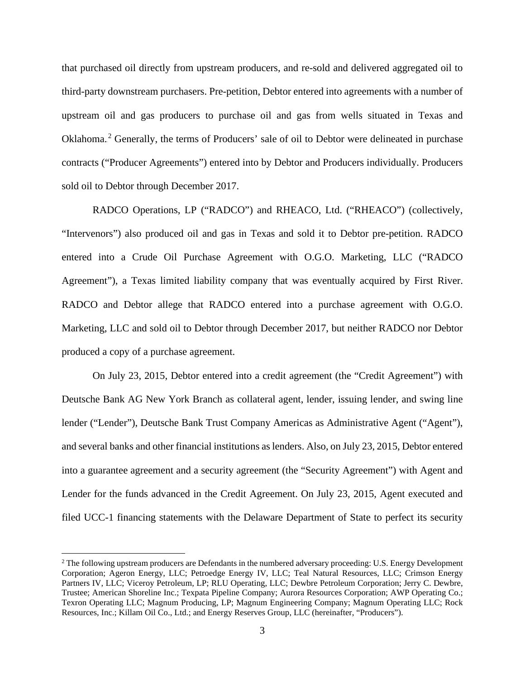that purchased oil directly from upstream producers, and re-sold and delivered aggregated oil to third-party downstream purchasers. Pre-petition, Debtor entered into agreements with a number of upstream oil and gas producers to purchase oil and gas from wells situated in Texas and Oklahoma.<sup>2</sup> Generally, the terms of Producers' sale of oil to Debtor were delineated in purchase contracts ("Producer Agreements") entered into by Debtor and Producers individually. Producers sold oil to Debtor through December 2017.

RADCO Operations, LP ("RADCO") and RHEACO, Ltd. ("RHEACO") (collectively, "Intervenors") also produced oil and gas in Texas and sold it to Debtor pre-petition. RADCO entered into a Crude Oil Purchase Agreement with O.G.O. Marketing, LLC ("RADCO Agreement"), a Texas limited liability company that was eventually acquired by First River. RADCO and Debtor allege that RADCO entered into a purchase agreement with O.G.O. Marketing, LLC and sold oil to Debtor through December 2017, but neither RADCO nor Debtor produced a copy of a purchase agreement.

On July 23, 2015, Debtor entered into a credit agreement (the "Credit Agreement") with Deutsche Bank AG New York Branch as collateral agent, lender, issuing lender, and swing line lender ("Lender"), Deutsche Bank Trust Company Americas as Administrative Agent ("Agent"), and several banks and other financial institutions as lenders. Also, on July 23, 2015, Debtor entered into a guarantee agreement and a security agreement (the "Security Agreement") with Agent and Lender for the funds advanced in the Credit Agreement. On July 23, 2015, Agent executed and filed UCC-1 financing statements with the Delaware Department of State to perfect its security

<sup>&</sup>lt;sup>2</sup> The following upstream producers are Defendants in the numbered adversary proceeding: U.S. Energy Development Corporation; Ageron Energy, LLC; Petroedge Energy IV, LLC; Teal Natural Resources, LLC; Crimson Energy Partners IV, LLC; Viceroy Petroleum, LP; RLU Operating, LLC; Dewbre Petroleum Corporation; Jerry C. Dewbre, Trustee; American Shoreline Inc.; Texpata Pipeline Company; Aurora Resources Corporation; AWP Operating Co.; Texron Operating LLC; Magnum Producing, LP; Magnum Engineering Company; Magnum Operating LLC; Rock Resources, Inc.; Killam Oil Co., Ltd.; and Energy Reserves Group, LLC (hereinafter, "Producers").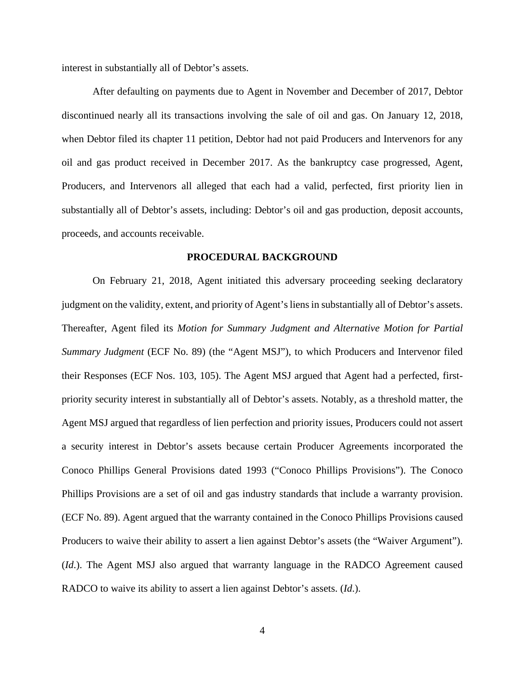interest in substantially all of Debtor's assets.

After defaulting on payments due to Agent in November and December of 2017, Debtor discontinued nearly all its transactions involving the sale of oil and gas. On January 12, 2018, when Debtor filed its chapter 11 petition, Debtor had not paid Producers and Intervenors for any oil and gas product received in December 2017. As the bankruptcy case progressed, Agent, Producers, and Intervenors all alleged that each had a valid, perfected, first priority lien in substantially all of Debtor's assets, including: Debtor's oil and gas production, deposit accounts, proceeds, and accounts receivable.

#### **PROCEDURAL BACKGROUND**

On February 21, 2018, Agent initiated this adversary proceeding seeking declaratory judgment on the validity, extent, and priority of Agent's liens in substantially all of Debtor's assets. Thereafter, Agent filed its *Motion for Summary Judgment and Alternative Motion for Partial Summary Judgment* (ECF No. 89) (the "Agent MSJ"), to which Producers and Intervenor filed their Responses (ECF Nos. 103, 105). The Agent MSJ argued that Agent had a perfected, firstpriority security interest in substantially all of Debtor's assets. Notably, as a threshold matter, the Agent MSJ argued that regardless of lien perfection and priority issues, Producers could not assert a security interest in Debtor's assets because certain Producer Agreements incorporated the Conoco Phillips General Provisions dated 1993 ("Conoco Phillips Provisions"). The Conoco Phillips Provisions are a set of oil and gas industry standards that include a warranty provision. (ECF No. 89). Agent argued that the warranty contained in the Conoco Phillips Provisions caused Producers to waive their ability to assert a lien against Debtor's assets (the "Waiver Argument"). (*Id*.). The Agent MSJ also argued that warranty language in the RADCO Agreement caused RADCO to waive its ability to assert a lien against Debtor's assets. (*Id*.).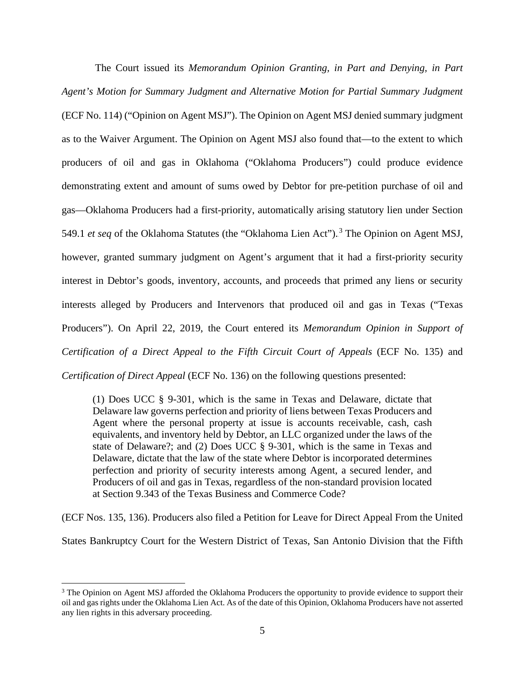The Court issued its *Memorandum Opinion Granting, in Part and Denying, in Part Agent's Motion for Summary Judgment and Alternative Motion for Partial Summary Judgment*  (ECF No. 114) ("Opinion on Agent MSJ"). The Opinion on Agent MSJ denied summary judgment as to the Waiver Argument. The Opinion on Agent MSJ also found that—to the extent to which producers of oil and gas in Oklahoma ("Oklahoma Producers") could produce evidence demonstrating extent and amount of sums owed by Debtor for pre-petition purchase of oil and gas—Oklahoma Producers had a first-priority, automatically arising statutory lien under Section 549.1 *et seq* of the Oklahoma Statutes (the "Oklahoma Lien Act").<sup>3</sup> The Opinion on Agent MSJ, however, granted summary judgment on Agent's argument that it had a first-priority security interest in Debtor's goods, inventory, accounts, and proceeds that primed any liens or security interests alleged by Producers and Intervenors that produced oil and gas in Texas ("Texas Producers"). On April 22, 2019, the Court entered its *Memorandum Opinion in Support of Certification of a Direct Appeal to the Fifth Circuit Court of Appeals* (ECF No. 135) and *Certification of Direct Appeal* (ECF No. 136) on the following questions presented:

(1) Does UCC § 9-301, which is the same in Texas and Delaware, dictate that Delaware law governs perfection and priority of liens between Texas Producers and Agent where the personal property at issue is accounts receivable, cash, cash equivalents, and inventory held by Debtor, an LLC organized under the laws of the state of Delaware?; and (2) Does UCC § 9-301, which is the same in Texas and Delaware, dictate that the law of the state where Debtor is incorporated determines perfection and priority of security interests among Agent, a secured lender, and Producers of oil and gas in Texas, regardless of the non-standard provision located at Section 9.343 of the Texas Business and Commerce Code?

(ECF Nos. 135, 136). Producers also filed a Petition for Leave for Direct Appeal From the United

States Bankruptcy Court for the Western District of Texas, San Antonio Division that the Fifth

<sup>&</sup>lt;sup>3</sup> The Opinion on Agent MSJ afforded the Oklahoma Producers the opportunity to provide evidence to support their oil and gas rights under the Oklahoma Lien Act. As of the date of this Opinion, Oklahoma Producers have not asserted any lien rights in this adversary proceeding.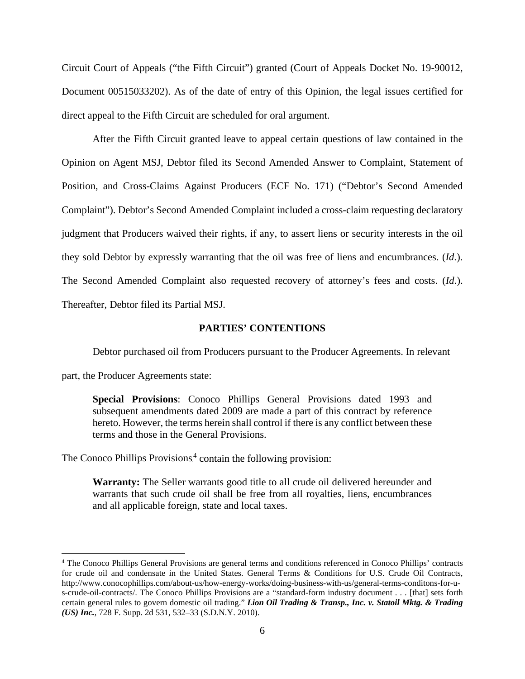Circuit Court of Appeals ("the Fifth Circuit") granted (Court of Appeals Docket No. 19-90012, Document 00515033202). As of the date of entry of this Opinion, the legal issues certified for direct appeal to the Fifth Circuit are scheduled for oral argument.

After the Fifth Circuit granted leave to appeal certain questions of law contained in the Opinion on Agent MSJ, Debtor filed its Second Amended Answer to Complaint, Statement of Position, and Cross-Claims Against Producers (ECF No. 171) ("Debtor's Second Amended Complaint"). Debtor's Second Amended Complaint included a cross-claim requesting declaratory judgment that Producers waived their rights, if any, to assert liens or security interests in the oil they sold Debtor by expressly warranting that the oil was free of liens and encumbrances. (*Id*.). The Second Amended Complaint also requested recovery of attorney's fees and costs. (*Id*.). Thereafter, Debtor filed its Partial MSJ.

#### **PARTIES' CONTENTIONS**

Debtor purchased oil from Producers pursuant to the Producer Agreements. In relevant

part, the Producer Agreements state:

**Special Provisions**: Conoco Phillips General Provisions dated 1993 and subsequent amendments dated 2009 are made a part of this contract by reference hereto. However, the terms herein shall control if there is any conflict between these terms and those in the General Provisions.

The Conoco Phillips Provisions.<sup>4</sup> contain the following provision:

**Warranty:** The Seller warrants good title to all crude oil delivered hereunder and warrants that such crude oil shall be free from all royalties, liens, encumbrances and all applicable foreign, state and local taxes.

<sup>4</sup> The Conoco Phillips General Provisions are general terms and conditions referenced in Conoco Phillips' contracts for crude oil and condensate in the United States. General Terms & Conditions for U.S. Crude Oil Contracts, http://www.conocophillips.com/about-us/how-energy-works/doing-business-with-us/general-terms-conditons-for-us-crude-oil-contracts/. The Conoco Phillips Provisions are a "standard-form industry document . . . [that] sets forth certain general rules to govern domestic oil trading." *Lion Oil Trading & Transp., Inc. v. Statoil Mktg. & Trading (US) Inc.*, 728 F. Supp. 2d 531, 532–33 (S.D.N.Y. 2010).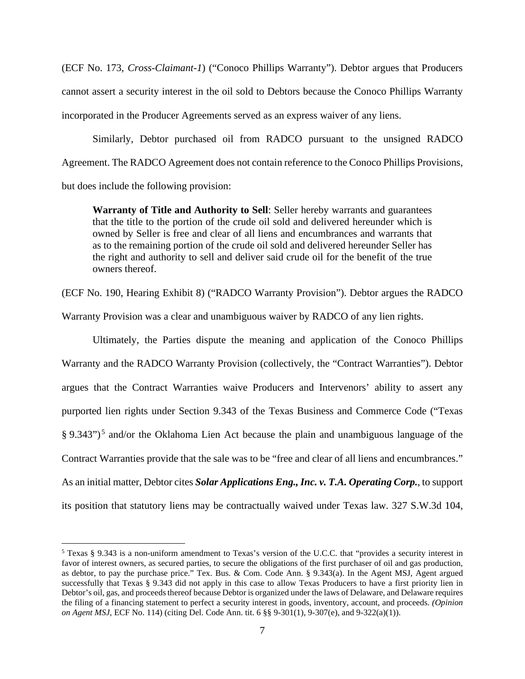(ECF No. 173, *Cross-Claimant-1*) ("Conoco Phillips Warranty"). Debtor argues that Producers cannot assert a security interest in the oil sold to Debtors because the Conoco Phillips Warranty incorporated in the Producer Agreements served as an express waiver of any liens.

Similarly, Debtor purchased oil from RADCO pursuant to the unsigned RADCO Agreement. The RADCO Agreement does not contain reference to the Conoco Phillips Provisions, but does include the following provision:

**Warranty of Title and Authority to Sell**: Seller hereby warrants and guarantees that the title to the portion of the crude oil sold and delivered hereunder which is owned by Seller is free and clear of all liens and encumbrances and warrants that as to the remaining portion of the crude oil sold and delivered hereunder Seller has the right and authority to sell and deliver said crude oil for the benefit of the true owners thereof.

(ECF No. 190, Hearing Exhibit 8) ("RADCO Warranty Provision"). Debtor argues the RADCO

Warranty Provision was a clear and unambiguous waiver by RADCO of any lien rights.

Ultimately, the Parties dispute the meaning and application of the Conoco Phillips Warranty and the RADCO Warranty Provision (collectively, the "Contract Warranties"). Debtor argues that the Contract Warranties waive Producers and Intervenors' ability to assert any purported lien rights under Section 9.343 of the Texas Business and Commerce Code ("Texas § 9.343")<sup>5</sup> and/or the Oklahoma Lien Act because the plain and unambiguous language of the Contract Warranties provide that the sale was to be "free and clear of all liens and encumbrances." As an initial matter, Debtor cites *Solar Applications Eng., Inc. v. T.A. Operating Corp.*, to support its position that statutory liens may be contractually waived under Texas law. 327 S.W.3d 104,

<sup>5</sup> Texas § 9.343 is a non-uniform amendment to Texas's version of the U.C.C. that "provides a security interest in favor of interest owners, as secured parties, to secure the obligations of the first purchaser of oil and gas production, as debtor, to pay the purchase price." Tex. Bus. & Com. Code Ann. § 9.343(a). In the Agent MSJ, Agent argued successfully that Texas § 9.343 did not apply in this case to allow Texas Producers to have a first priority lien in Debtor's oil, gas, and proceeds thereof because Debtor is organized under the laws of Delaware, and Delaware requires the filing of a financing statement to perfect a security interest in goods, inventory, account, and proceeds. *(Opinion on Agent MSJ,* ECF No. 114) (citing Del. Code Ann. tit. 6 §§ 9-301(1), 9-307(e), and 9-322(a)(1)).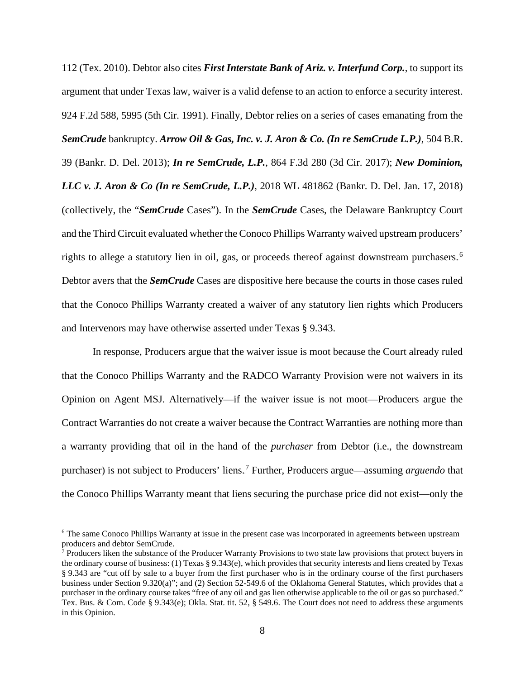112 (Tex. 2010). Debtor also cites *First Interstate Bank of Ariz. v. Interfund Corp.*, to support its argument that under Texas law, waiver is a valid defense to an action to enforce a security interest. 924 F.2d 588, 5995 (5th Cir. 1991). Finally, Debtor relies on a series of cases emanating from the *SemCrude* bankruptcy. *Arrow Oil & Gas, Inc. v. J. Aron & Co. (In re SemCrude L.P.)*, 504 B.R. 39 (Bankr. D. Del. 2013); *In re SemCrude, L.P.*, 864 F.3d 280 (3d Cir. 2017); *New Dominion, LLC v. J. Aron & Co (In re SemCrude, L.P.)*, 2018 WL 481862 (Bankr. D. Del. Jan. 17, 2018) (collectively, the "*SemCrude* Cases"). In the *SemCrude* Cases, the Delaware Bankruptcy Court and the Third Circuit evaluated whether the Conoco Phillips Warranty waived upstream producers' rights to allege a statutory lien in oil, gas, or proceeds thereof against downstream purchasers.<sup>6</sup> Debtor avers that the *SemCrude* Cases are dispositive here because the courts in those cases ruled that the Conoco Phillips Warranty created a waiver of any statutory lien rights which Producers and Intervenors may have otherwise asserted under Texas § 9.343.

In response, Producers argue that the waiver issue is moot because the Court already ruled that the Conoco Phillips Warranty and the RADCO Warranty Provision were not waivers in its Opinion on Agent MSJ. Alternatively—if the waiver issue is not moot—Producers argue the Contract Warranties do not create a waiver because the Contract Warranties are nothing more than a warranty providing that oil in the hand of the *purchaser* from Debtor (i.e., the downstream purchaser) is not subject to Producers' liens.<sup>7</sup> Further, Producers argue—assuming *arguendo* that the Conoco Phillips Warranty meant that liens securing the purchase price did not exist—only the

<sup>&</sup>lt;sup>6</sup> The same Conoco Phillips Warranty at issue in the present case was incorporated in agreements between upstream producers and debtor SemCrude.

 $\bar{7}$  Producers liken the substance of the Producer Warranty Provisions to two state law provisions that protect buyers in the ordinary course of business: (1) Texas § 9.343(e), which provides that security interests and liens created by Texas § 9.343 are "cut off by sale to a buyer from the first purchaser who is in the ordinary course of the first purchasers business under Section 9.320(a)"; and (2) Section 52-549.6 of the Oklahoma General Statutes, which provides that a purchaser in the ordinary course takes "free of any oil and gas lien otherwise applicable to the oil or gas so purchased." Tex. Bus. & Com. Code § 9.343(e); Okla. Stat. tit. 52, § 549.6. The Court does not need to address these arguments in this Opinion.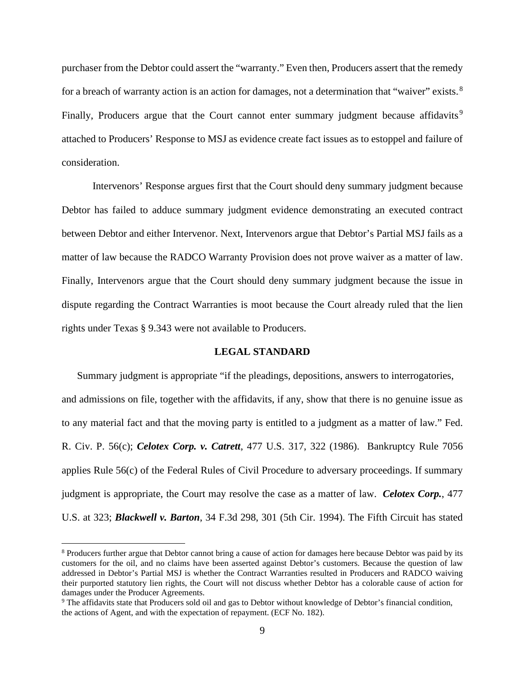purchaser from the Debtor could assert the "warranty." Even then, Producers assert that the remedy for a breach of warranty action is an action for damages, not a determination that "waiver" exists.<sup>8</sup> Finally, Producers argue that the Court cannot enter summary judgment because affidavits.<sup>9</sup> attached to Producers' Response to MSJ as evidence create fact issues as to estoppel and failure of consideration.

Intervenors' Response argues first that the Court should deny summary judgment because Debtor has failed to adduce summary judgment evidence demonstrating an executed contract between Debtor and either Intervenor. Next, Intervenors argue that Debtor's Partial MSJ fails as a matter of law because the RADCO Warranty Provision does not prove waiver as a matter of law. Finally, Intervenors argue that the Court should deny summary judgment because the issue in dispute regarding the Contract Warranties is moot because the Court already ruled that the lien rights under Texas § 9.343 were not available to Producers.

#### **LEGAL STANDARD**

Summary judgment is appropriate "if the pleadings, depositions, answers to interrogatories, and admissions on file, together with the affidavits, if any, show that there is no genuine issue as to any material fact and that the moving party is entitled to a judgment as a matter of law." Fed. R. Civ. P. 56(c); *Celotex Corp. v. Catrett*, 477 U.S. 317, 322 (1986). Bankruptcy Rule 7056 applies Rule 56(c) of the Federal Rules of Civil Procedure to adversary proceedings. If summary judgment is appropriate, the Court may resolve the case as a matter of law. *Celotex Corp.*, 477 U.S. at 323; *Blackwell v. Barton*, 34 F.3d 298, 301 (5th Cir. 1994). The Fifth Circuit has stated

<sup>8</sup> Producers further argue that Debtor cannot bring a cause of action for damages here because Debtor was paid by its customers for the oil, and no claims have been asserted against Debtor's customers. Because the question of law addressed in Debtor's Partial MSJ is whether the Contract Warranties resulted in Producers and RADCO waiving their purported statutory lien rights, the Court will not discuss whether Debtor has a colorable cause of action for damages under the Producer Agreements.

<sup>9</sup> The affidavits state that Producers sold oil and gas to Debtor without knowledge of Debtor's financial condition, the actions of Agent, and with the expectation of repayment. (ECF No. 182).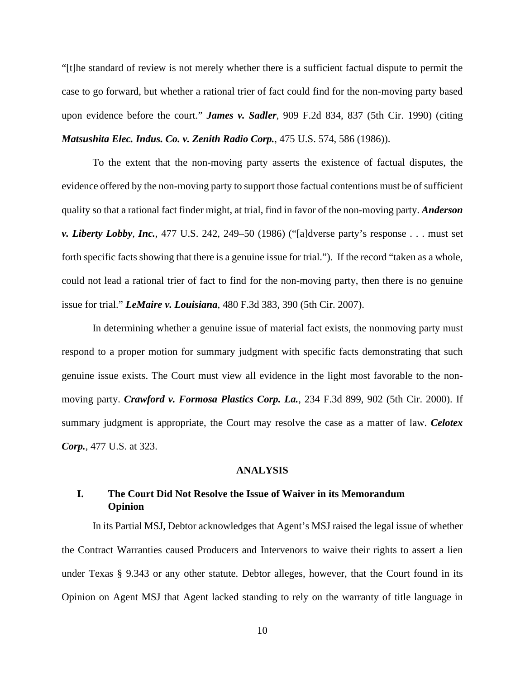"[t]he standard of review is not merely whether there is a sufficient factual dispute to permit the case to go forward, but whether a rational trier of fact could find for the non-moving party based upon evidence before the court." *James v. Sadler*, 909 F.2d 834, 837 (5th Cir. 1990) (citing *Matsushita Elec. Indus. Co. v. Zenith Radio Corp.*, 475 U.S. 574, 586 (1986)).

To the extent that the non-moving party asserts the existence of factual disputes, the evidence offered by the non-moving party to support those factual contentions must be of sufficient quality so that a rational fact finder might, at trial, find in favor of the non-moving party. *Anderson v. Liberty Lobby, Inc.*, 477 U.S. 242, 249–50 (1986) ("[a]dverse party's response . . . must set forth specific facts showing that there is a genuine issue for trial."). If the record "taken as a whole, could not lead a rational trier of fact to find for the non-moving party, then there is no genuine issue for trial." *LeMaire v. Louisiana*, 480 F.3d 383, 390 (5th Cir. 2007).

In determining whether a genuine issue of material fact exists, the nonmoving party must respond to a proper motion for summary judgment with specific facts demonstrating that such genuine issue exists. The Court must view all evidence in the light most favorable to the nonmoving party. *Crawford v. Formosa Plastics Corp. La.*, 234 F.3d 899, 902 (5th Cir. 2000). If summary judgment is appropriate, the Court may resolve the case as a matter of law. *Celotex Corp.*, 477 U.S. at 323.

#### **ANALYSIS**

## **I. The Court Did Not Resolve the Issue of Waiver in its Memorandum Opinion**

In its Partial MSJ, Debtor acknowledges that Agent's MSJ raised the legal issue of whether the Contract Warranties caused Producers and Intervenors to waive their rights to assert a lien under Texas § 9.343 or any other statute. Debtor alleges, however, that the Court found in its Opinion on Agent MSJ that Agent lacked standing to rely on the warranty of title language in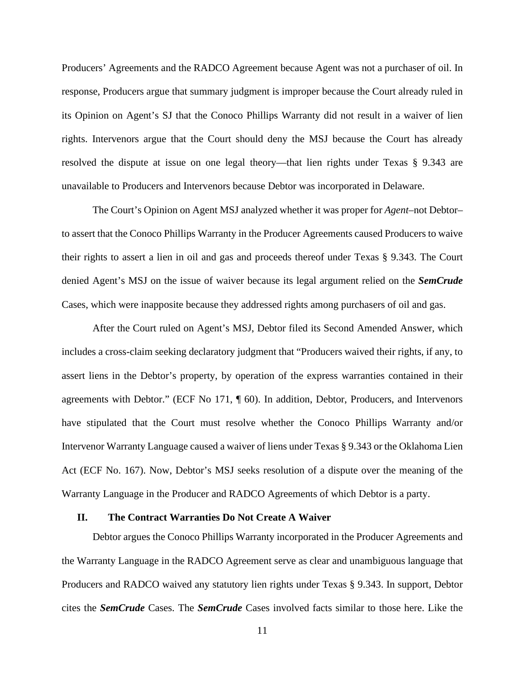Producers' Agreements and the RADCO Agreement because Agent was not a purchaser of oil. In response, Producers argue that summary judgment is improper because the Court already ruled in its Opinion on Agent's SJ that the Conoco Phillips Warranty did not result in a waiver of lien rights. Intervenors argue that the Court should deny the MSJ because the Court has already resolved the dispute at issue on one legal theory—that lien rights under Texas § 9.343 are unavailable to Producers and Intervenors because Debtor was incorporated in Delaware.

The Court's Opinion on Agent MSJ analyzed whether it was proper for *Agent*–not Debtor– to assert that the Conoco Phillips Warranty in the Producer Agreements caused Producers to waive their rights to assert a lien in oil and gas and proceeds thereof under Texas § 9.343. The Court denied Agent's MSJ on the issue of waiver because its legal argument relied on the *SemCrude*  Cases, which were inapposite because they addressed rights among purchasers of oil and gas.

After the Court ruled on Agent's MSJ, Debtor filed its Second Amended Answer, which includes a cross-claim seeking declaratory judgment that "Producers waived their rights, if any, to assert liens in the Debtor's property, by operation of the express warranties contained in their agreements with Debtor." (ECF No 171, ¶ 60). In addition, Debtor, Producers, and Intervenors have stipulated that the Court must resolve whether the Conoco Phillips Warranty and/or Intervenor Warranty Language caused a waiver of liens under Texas § 9.343 or the Oklahoma Lien Act (ECF No. 167). Now, Debtor's MSJ seeks resolution of a dispute over the meaning of the Warranty Language in the Producer and RADCO Agreements of which Debtor is a party.

#### **II. The Contract Warranties Do Not Create A Waiver**

Debtor argues the Conoco Phillips Warranty incorporated in the Producer Agreements and the Warranty Language in the RADCO Agreement serve as clear and unambiguous language that Producers and RADCO waived any statutory lien rights under Texas § 9.343. In support, Debtor cites the *SemCrude* Cases. The *SemCrude* Cases involved facts similar to those here. Like the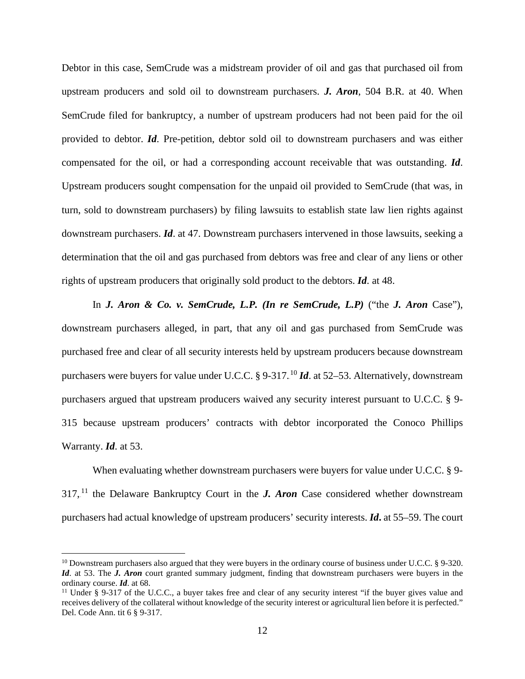Debtor in this case, SemCrude was a midstream provider of oil and gas that purchased oil from upstream producers and sold oil to downstream purchasers. *J. Aron*, 504 B.R. at 40. When SemCrude filed for bankruptcy, a number of upstream producers had not been paid for the oil provided to debtor. *Id*. Pre-petition, debtor sold oil to downstream purchasers and was either compensated for the oil, or had a corresponding account receivable that was outstanding. *Id*. Upstream producers sought compensation for the unpaid oil provided to SemCrude (that was, in turn, sold to downstream purchasers) by filing lawsuits to establish state law lien rights against downstream purchasers. *Id*. at 47. Downstream purchasers intervened in those lawsuits, seeking a determination that the oil and gas purchased from debtors was free and clear of any liens or other rights of upstream producers that originally sold product to the debtors. *Id*. at 48.

In *J. Aron & Co. v. SemCrude, L.P. (In re SemCrude, L.P)* ("the *J. Aron* Case"), downstream purchasers alleged, in part, that any oil and gas purchased from SemCrude was purchased free and clear of all security interests held by upstream producers because downstream purchasers were buyers for value under U.C.C. § 9-317.<sup>10</sup> *Id*. at 52–53. Alternatively, downstream purchasers argued that upstream producers waived any security interest pursuant to U.C.C. § 9- 315 because upstream producers' contracts with debtor incorporated the Conoco Phillips Warranty. *Id*. at 53.

When evaluating whether downstream purchasers were buyers for value under U.C.C. § 9- $317<sup>11</sup>$  the Delaware Bankruptcy Court in the *J. Aron* Case considered whether downstream purchasers had actual knowledge of upstream producers' security interests. *Id***.** at 55–59. The court

<sup>&</sup>lt;sup>10</sup> Downstream purchasers also argued that they were buyers in the ordinary course of business under U.C.C. § 9-320. *Id.* at 53. The *J. Aron* court granted summary judgment, finding that downstream purchasers were buyers in the ordinary course. *Id*. at 68.<br><sup>11</sup> Under § 9-317 of the U.C.C., a buyer takes free and clear of any security interest "if the buyer gives value and

receives delivery of the collateral without knowledge of the security interest or agricultural lien before it is perfected." Del. Code Ann. tit 6 § 9-317.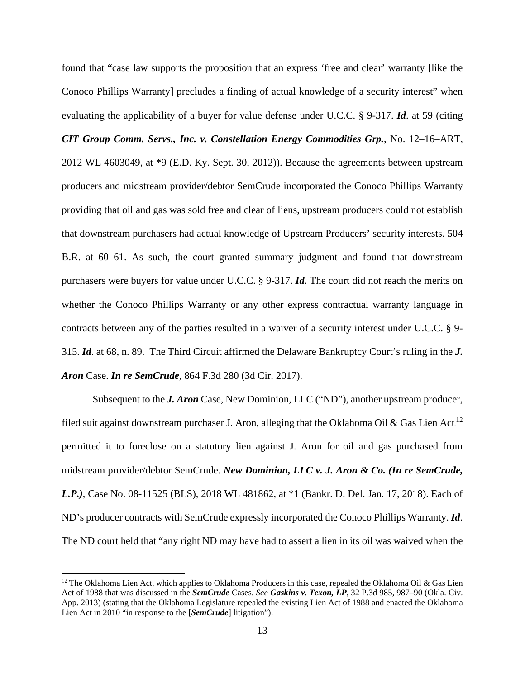found that "case law supports the proposition that an express 'free and clear' warranty [like the Conoco Phillips Warranty] precludes a finding of actual knowledge of a security interest" when evaluating the applicability of a buyer for value defense under U.C.C. § 9-317. *Id*. at 59 (citing *CIT Group Comm. Servs., Inc. v. Constellation Energy Commodities Grp.*, No. 12–16–ART, 2012 WL 4603049, at \*9 (E.D. Ky. Sept. 30, 2012)). Because the agreements between upstream producers and midstream provider/debtor SemCrude incorporated the Conoco Phillips Warranty providing that oil and gas was sold free and clear of liens, upstream producers could not establish that downstream purchasers had actual knowledge of Upstream Producers' security interests. 504 B.R. at 60–61. As such, the court granted summary judgment and found that downstream purchasers were buyers for value under U.C.C. § 9-317. *Id*. The court did not reach the merits on whether the Conoco Phillips Warranty or any other express contractual warranty language in contracts between any of the parties resulted in a waiver of a security interest under U.C.C. § 9- 315. *Id*. at 68, n. 89. The Third Circuit affirmed the Delaware Bankruptcy Court's ruling in the *J. Aron* Case. *In re SemCrude*, 864 F.3d 280 (3d Cir. 2017).

Subsequent to the *J. Aron* Case, New Dominion, LLC ("ND"), another upstream producer, filed suit against downstream purchaser J. Aron, alleging that the Oklahoma Oil & Gas Lien Act.<sup>12</sup> permitted it to foreclose on a statutory lien against J. Aron for oil and gas purchased from midstream provider/debtor SemCrude. *New Dominion, LLC v. J. Aron & Co. (In re SemCrude, L.P.)*, Case No. 08-11525 (BLS), 2018 WL 481862, at \*1 (Bankr. D. Del. Jan. 17, 2018). Each of ND's producer contracts with SemCrude expressly incorporated the Conoco Phillips Warranty. *Id*. The ND court held that "any right ND may have had to assert a lien in its oil was waived when the

<sup>&</sup>lt;sup>12</sup> The Oklahoma Lien Act, which applies to Oklahoma Producers in this case, repealed the Oklahoma Oil & Gas Lien Act of 1988 that was discussed in the *SemCrude* Cases. *See Gaskins v. Texon, LP*, 32 P.3d 985, 987–90 (Okla. Civ. App. 2013) (stating that the Oklahoma Legislature repealed the existing Lien Act of 1988 and enacted the Oklahoma Lien Act in 2010 "in response to the [*SemCrude*] litigation").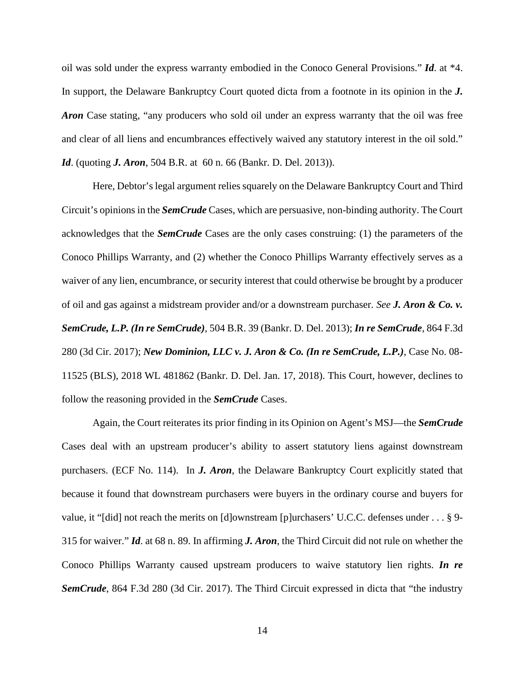oil was sold under the express warranty embodied in the Conoco General Provisions." *Id*. at \*4. In support, the Delaware Bankruptcy Court quoted dicta from a footnote in its opinion in the *J. Aron* Case stating, "any producers who sold oil under an express warranty that the oil was free and clear of all liens and encumbrances effectively waived any statutory interest in the oil sold." *Id.* (quoting *J. Aron*, 504 B.R. at 60 n. 66 (Bankr. D. Del. 2013)).

Here, Debtor's legal argument relies squarely on the Delaware Bankruptcy Court and Third Circuit's opinions in the *SemCrude* Cases, which are persuasive, non-binding authority. The Court acknowledges that the *SemCrude* Cases are the only cases construing: (1) the parameters of the Conoco Phillips Warranty, and (2) whether the Conoco Phillips Warranty effectively serves as a waiver of any lien, encumbrance, or security interest that could otherwise be brought by a producer of oil and gas against a midstream provider and/or a downstream purchaser. *See J. Aron & Co. v. SemCrude, L.P. (In re SemCrude)*, 504 B.R. 39 (Bankr. D. Del. 2013); *In re SemCrude*, 864 F.3d 280 (3d Cir. 2017); *New Dominion, LLC v. J. Aron & Co. (In re SemCrude, L.P.)*, Case No. 08- 11525 (BLS), 2018 WL 481862 (Bankr. D. Del. Jan. 17, 2018). This Court, however, declines to follow the reasoning provided in the *SemCrude* Cases.

Again, the Court reiterates its prior finding in its Opinion on Agent's MSJ—the *SemCrude*  Cases deal with an upstream producer's ability to assert statutory liens against downstream purchasers. (ECF No. 114). In *J. Aron*, the Delaware Bankruptcy Court explicitly stated that because it found that downstream purchasers were buyers in the ordinary course and buyers for value, it "[did] not reach the merits on [d]ownstream [p]urchasers' U.C.C. defenses under . . . § 9- 315 for waiver." *Id*. at 68 n. 89. In affirming *J. Aron*, the Third Circuit did not rule on whether the Conoco Phillips Warranty caused upstream producers to waive statutory lien rights. *In re SemCrude*, 864 F.3d 280 (3d Cir. 2017). The Third Circuit expressed in dicta that "the industry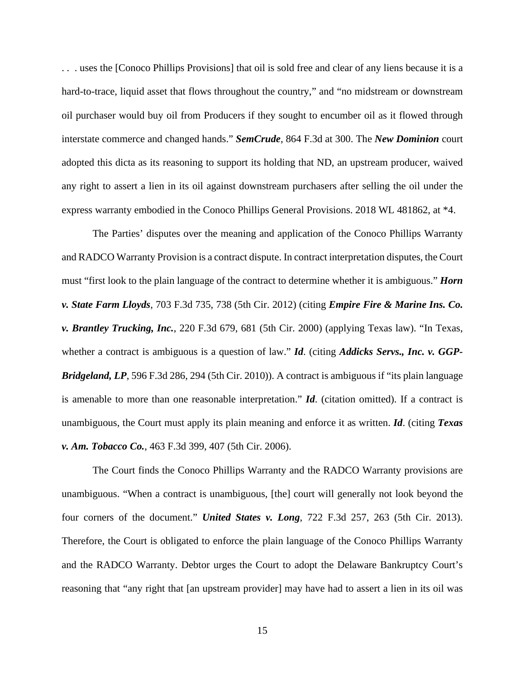. . . uses the [Conoco Phillips Provisions] that oil is sold free and clear of any liens because it is a hard-to-trace, liquid asset that flows throughout the country," and "no midstream or downstream oil purchaser would buy oil from Producers if they sought to encumber oil as it flowed through interstate commerce and changed hands." *SemCrude*, 864 F.3d at 300. The *New Dominion* court adopted this dicta as its reasoning to support its holding that ND, an upstream producer, waived any right to assert a lien in its oil against downstream purchasers after selling the oil under the express warranty embodied in the Conoco Phillips General Provisions. 2018 WL 481862, at \*4.

The Parties' disputes over the meaning and application of the Conoco Phillips Warranty and RADCO Warranty Provision is a contract dispute. In contract interpretation disputes, the Court must "first look to the plain language of the contract to determine whether it is ambiguous." *Horn v. State Farm Lloyds*, 703 F.3d 735, 738 (5th Cir. 2012) (citing *Empire Fire & Marine Ins. Co. v. Brantley Trucking, Inc.*, 220 F.3d 679, 681 (5th Cir. 2000) (applying Texas law). "In Texas, whether a contract is ambiguous is a question of law." *Id*. (citing *Addicks Servs., Inc. v. GGP-Bridgeland, LP*, 596 F.3d 286, 294 (5th Cir. 2010)). A contract is ambiguous if "its plain language is amenable to more than one reasonable interpretation." *Id*. (citation omitted). If a contract is unambiguous, the Court must apply its plain meaning and enforce it as written. *Id*. (citing *Texas v. Am. Tobacco Co.*, 463 F.3d 399, 407 (5th Cir. 2006).

The Court finds the Conoco Phillips Warranty and the RADCO Warranty provisions are unambiguous. "When a contract is unambiguous, [the] court will generally not look beyond the four corners of the document." *United States v. Long*, 722 F.3d 257, 263 (5th Cir. 2013). Therefore, the Court is obligated to enforce the plain language of the Conoco Phillips Warranty and the RADCO Warranty. Debtor urges the Court to adopt the Delaware Bankruptcy Court's reasoning that "any right that [an upstream provider] may have had to assert a lien in its oil was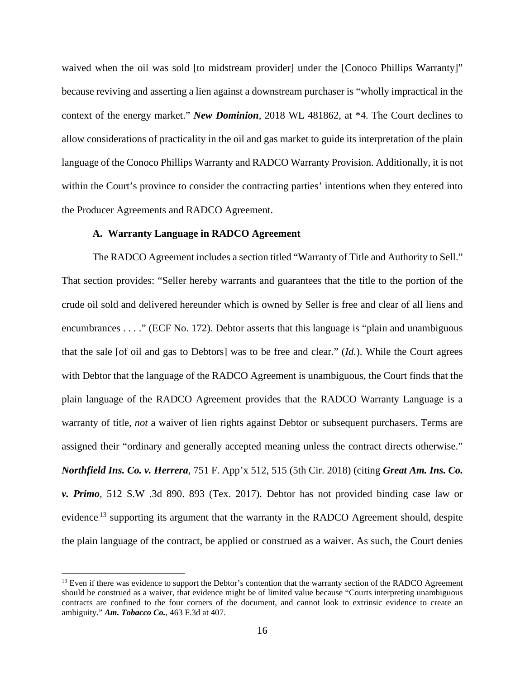waived when the oil was sold [to midstream provider] under the [Conoco Phillips Warranty]" because reviving and asserting a lien against a downstream purchaser is "wholly impractical in the context of the energy market." *New Dominion*, 2018 WL 481862, at \*4. The Court declines to allow considerations of practicality in the oil and gas market to guide its interpretation of the plain language of the Conoco Phillips Warranty and RADCO Warranty Provision. Additionally, it is not within the Court's province to consider the contracting parties' intentions when they entered into the Producer Agreements and RADCO Agreement.

#### **A. Warranty Language in RADCO Agreement**

The RADCO Agreement includes a section titled "Warranty of Title and Authority to Sell." That section provides: "Seller hereby warrants and guarantees that the title to the portion of the crude oil sold and delivered hereunder which is owned by Seller is free and clear of all liens and encumbrances . . . ." (ECF No. 172). Debtor asserts that this language is "plain and unambiguous that the sale [of oil and gas to Debtors] was to be free and clear." (*Id.*). While the Court agrees with Debtor that the language of the RADCO Agreement is unambiguous, the Court finds that the plain language of the RADCO Agreement provides that the RADCO Warranty Language is a warranty of title, *not* a waiver of lien rights against Debtor or subsequent purchasers. Terms are assigned their "ordinary and generally accepted meaning unless the contract directs otherwise." *Northfield Ins. Co. v. Herrera*, 751 F. App'x 512, 515 (5th Cir. 2018) (citing *Great Am. Ins. Co. v. Primo*, 512 S.W .3d 890. 893 (Tex. 2017). Debtor has not provided binding case law or evidence.<sup>13</sup> supporting its argument that the warranty in the RADCO Agreement should, despite the plain language of the contract, be applied or construed as a waiver. As such, the Court denies

<sup>&</sup>lt;sup>13</sup> Even if there was evidence to support the Debtor's contention that the warranty section of the RADCO Agreement should be construed as a waiver, that evidence might be of limited value because "Courts interpreting unambiguous contracts are confined to the four corners of the document, and cannot look to extrinsic evidence to create an ambiguity." *Am. Tobacco Co.*, 463 F.3d at 407.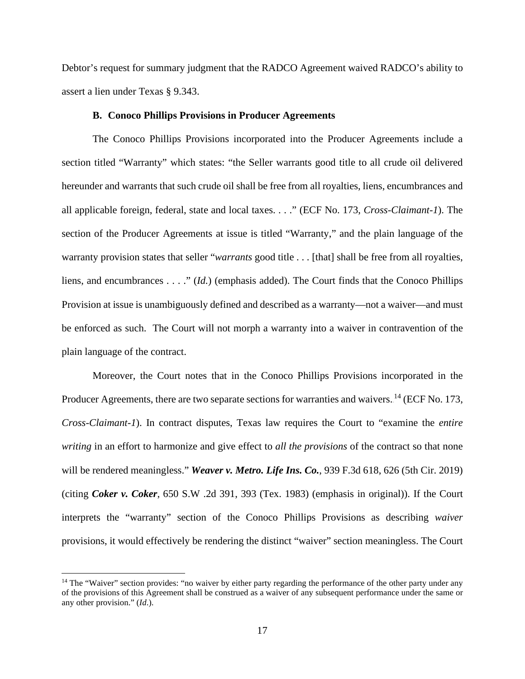Debtor's request for summary judgment that the RADCO Agreement waived RADCO's ability to assert a lien under Texas § 9.343.

#### **B. Conoco Phillips Provisions in Producer Agreements**

The Conoco Phillips Provisions incorporated into the Producer Agreements include a section titled "Warranty" which states: "the Seller warrants good title to all crude oil delivered hereunder and warrants that such crude oil shall be free from all royalties, liens, encumbrances and all applicable foreign, federal, state and local taxes. . . ." (ECF No. 173, *Cross-Claimant-1*). The section of the Producer Agreements at issue is titled "Warranty," and the plain language of the warranty provision states that seller "*warrants* good title . . . [that] shall be free from all royalties, liens, and encumbrances . . . ." (*Id.*) (emphasis added). The Court finds that the Conoco Phillips Provision at issue is unambiguously defined and described as a warranty—not a waiver—and must be enforced as such. The Court will not morph a warranty into a waiver in contravention of the plain language of the contract.

Moreover, the Court notes that in the Conoco Phillips Provisions incorporated in the Producer Agreements, there are two separate sections for warranties and waivers.<sup>14</sup> (ECF No. 173, *Cross-Claimant-1*). In contract disputes, Texas law requires the Court to "examine the *entire writing* in an effort to harmonize and give effect to *all the provisions* of the contract so that none will be rendered meaningless." *Weaver v. Metro. Life Ins. Co.*, 939 F.3d 618, 626 (5th Cir. 2019) (citing *Coker v. Coker*, 650 S.W .2d 391, 393 (Tex. 1983) (emphasis in original)). If the Court interprets the "warranty" section of the Conoco Phillips Provisions as describing *waiver* provisions, it would effectively be rendering the distinct "waiver" section meaningless. The Court

<sup>&</sup>lt;sup>14</sup> The "Waiver" section provides: "no waiver by either party regarding the performance of the other party under any of the provisions of this Agreement shall be construed as a waiver of any subsequent performance under the same or any other provision." (*Id*.).